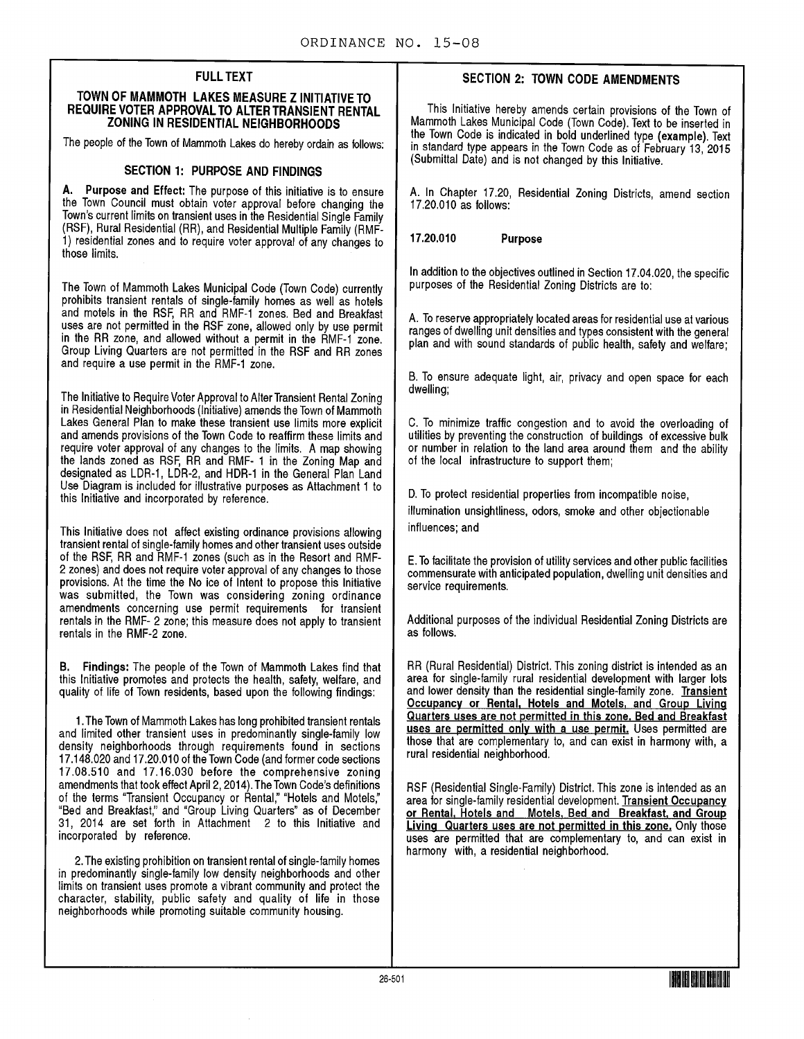## FULL TEXT

#### TOWN OF MAMMOTH LAKES MEASURE Z INITIATIVE TO REQUIRE VOTER APPROVAL TO ALTER TRANSIENT RENTAL ZONING IN RESIDENTIAL NEIGHBORHOODS

The people of the Town of Mammoth Lakes do hereby ordain as follows:

## SECTION 1: PURPOSE AND FINDINGS

A. Purpose and Effect: The purpose of this initiative is to ensure the Town Council must obtain voter approval before changing the Town's current limits on transient uses in the Residential Single Family (RSF), Rural Residential (RR), and Residential Multiple Family (RMF-1) residential zones and to require voter approval of any changes to those limits.

The Town of Mammoth Lakes Municipal Code ( Town Code) currently prohibits transient rentals of single-family homes as well as hotels and motels in the RSF, RR and RMF -1 zones. Bed and Breakfast uses are not permitted in the RSF zone, allowed only by use permit in the RR zone, and allowed without a permit in the RMF -1 zone. Group Living Quarters are not permitted in the RSF and RR zones and require a use permit in the RMF-1 zone.

The Initiative to Require Voter Approval to Alter Transient Rental Zoning in Residential Neighborhoods (Initiative) amends the Town of Mammoth Lakes General Plan to make these transient use limits more explicit and amends provisions of the Town Code to reaffirm these limits and require voter approval of any changes to the limits. A map showing the lands zoned as RSF, RR and RMF- 1 in the Zoning Map and designated as LDR-1, LDR-2, and HDR-1 in the General Plan Land Use Diagram is included for illustrative purposes as Attachment <sup>1</sup> to this Initiative and incorporated by reference.

This Initiative does not affect existing ordinance provisions allowing transient rental of single - family homes and other transient uses outside of the RSF, RR and RMF-1 zones (such as in the Resort and RMF-2 zones) and does not require voter approval of any changes to those provisions. At the time the No ice of Intent to propose this Initiative was submitted, the Town was considering zoning ordinance amendments concerning use permit requirements for transient rentals in the RMF- 2 zone; this measure does not apply to transient rentals in the RMF-2 zone.

B. Findings: The people of the Town of Mammoth Lakes find that this Initiative promotes and protects the health, safety, welfare, and quality of life of Town residents, based upon the following findings:

1. The Town of Mammoth Lakes has long prohibited transient rentals and limited other transient uses in predominantly single-family low density neighborhoods through requirements found in sections 17. 148. 020 and 17. 20.010 of the Town Code ( and former code sections 17. 08. 510 and 17. 16. 030 before the comprehensive zoning amendments that took effect April 2, 2014). The Town Code's definitions of the terms " Transient Occupancy or Rental," " Hotels and Motels," Bed and Breakfast," and " Group Living Quarters' as of December 31, 2014 are set forth in Attachment 2 to this Initiative and incorporated by reference.

2. The existing prohibition on transient rental of single - family homes in predominantly single-family low density neighborhoods and other limits on transient uses promote a vibrant community and protect the character, stability, public safety and quality of life in those neighborhoods while promoting suitable community housing.

# SECTION 2: TOWN CODE AMENDMENTS

This Initiative hereby amends certain provisions of the Town of Mammoth Lakes Municipal Code ( Town Code). Text to be inserted in the Town Code is indicated in bold underlined type (example). Text in standard type appears in the Town Code as of February 13, 2015 Submittal Date) and is not changed by this Initiative.

A. In Chapter 17.20, Residential Zoning Districts, amend section 17.20.010 as follows:

17.20.010 Purpose

In addition to the objectives outlined in Section 17. 04. 020, the specific purposes of the Residential Zoning Districts are to:

A. To reserve appropriately located areas for residential use at various ranges of dwelling unit densities and types consistent with the general plan and with sound standards of public health, safety and welfare;

B. To ensure adequate light, air, privacy and open space for each dwelling;

C. To minimize traffic congestion and to avoid the overloading of utilities by preventing the construction of buildings of excessive bulk or number in relation to the land area around them and the ability of the local infrastructure to support them;

D. To protect residential properties from incompatible noise,

illumination unsightliness, odors, smoke and other objectionable influences; and

E. To facilitate the provision of utility services and other public facilities commensurate with anticipated population, dwelling unit densities and service requirements.

Additional purposes of the individual Residential Zoning Districts are as follows.

RR (Rural Residential) District. This zoning district is intended as an area for single-family rural residential development with larger lots and lower density than the residential single-family zone. Transient Occupancy or Rental. Hotels and Motels, and Group Living Quarters uses are not permitted in this zone. Bed and Breakfast uses are permitted only with a use permit. Uses permitted are those that are complementary to, and can exist in harmony with, a rural residential neighborhood.

RSF (Residential Single-Family) District. This zone is intended as an area for single-family residential development. Transient Occupancy or Rental. Hotels and Motels, Bed and Breakfast. and Group Living Quarters uses are not permitted in this zone. Only those uses are permitted that are complementary to, and can exist in harmony with, a residential neighborhood.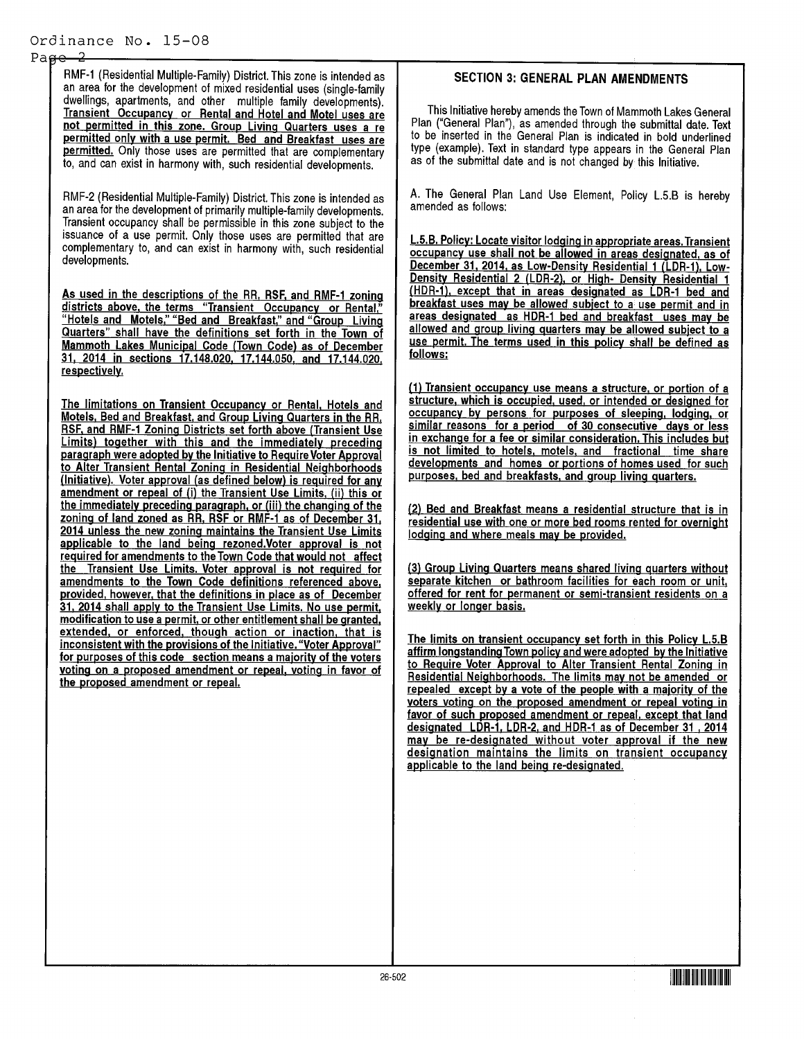#### $Pa$  $He$

RMF-1 (Residential Multiple-Family) District. This zone is intended as an area for the development of mixed residential uses (single-family dwellings, apartments, and other multiple family developments). Transient Occupancy or Rental and Hotel and Motel uses are not permitted in this zone. Group Living Quarters uses a re permitted only with a use permit. Bed and Breakfast uses are permitted. Only those uses are permitted that are complementary to, and can exist in harmony with, such residential developments.

RMF -2 ( Residential Multiple - Family) District. This zone is intended as an area for the development of primarily multiple - family developments. Transient occupancy shall be permissible in this zone subject to the issuance of a use permit. Only those uses are permitted that are complementary to, and can exist in harmony with, such residential developments.

As used in the descriptions of the RR, RSF, and RMF-1 zoning districts above, the terms "Transient Occupancy or Rental," 'Hotels and Motels," "Bed and Breakfast," and "Group Living Quarters" shall have the definitions set forth in the Town of Mammoth Lakes Municipal Code (Town Code) as of December 31, 2014 in sections 17. 148. 020, 17. 144.050, and 17144 020, respectively.

The limitations on Transient Occupancy or Rental, Hotels and Motels, Bed and Breakfast, and Group Living Quarters in the RR, RSF, and RMF-1 Zoning Districts set forth above (Transient Use Limits) together with this and the immediately preceding paragraph were adopted by the Initiative to Require Voter Approval to Alter Transient Rental Zoning in Residential Neighborhoods (Initiative). Voter approval (as defined below) is required for any amendment or repeal of (i) the Transient Use Limits, (ii) this or the immediately preceding paragraph, or (iii) the changing of the zoning of land zoned as RR, RSF or RMF-1 as of December 31, 2014 unless the new zoning maintains the Transient Use Limits applicable to the land being rezoned.Voter approval is not required for amendments to the Town Code that would not affect the Transient Use Limits. Voter approval is not required for amendments to the Town Code definitions referenced above, provided, however, that the definitions in place as of December 31, 2014 shall apply to the Transient Use Limits. No use permit, modification to use a permit, or other entitlement shall be granted, extended, or enforced, though action or inaction, that is inconsistent with the provisions of the Initiative. "Voter Approval' for purposes of this code section means a majority of the voters voting on a proposed amendment or repeal, voting in favor of the proposed amendment or repeal.

### SECTION 3: GENERAL PLAN AMENDMENTS

This Initiative hereby amends the Town of Mammoth Lakes General Plan ("General Plan"), as amended through the submittal date. Text to be inserted in the General Plan is indicated in bold underlined type (example). Text in standard type appears in the General Plan as of the submittal date and is not changed by this Initiative.

A. The General Plan Land Use Element, Policy L.5.B is hereby amended as follows:

L.5.B. Policy: Locate visitor lodging in appropriate areas. Transient occupancy use shall not be allowed in areas designated, as of December 31, 2014, as Low-Density Residential 1 (LDR-1), Low-Density Residential 2 (LDR-2), or High- Density Residential 1 (HDR-1), except that in areas designated as LDR-1 bed and breakfast uses may be allowed subject to a use permit and in areas designated as HDR-1 bed and breakfast uses may be allowed and group living quarters may be allowed subject to a use permit. The terms used in this policy shall be defined as follows:

(1) Transient occupancy use means a structure, or portion of a structure, which is occupied, used, or intended or designed for occupancy by persons for purposes of sleeping, lodging, or similar reasons for a period of 30 consecutive days or less in exchange for a fee or similar consideration. This includes but is not limited to hotels, motels, and fractional time share developments and homes or portions of homes used for such purposes, bed and breakfasts, and group living quarters.

2) Bed and Breakfast means a residential structure that is in residential use with one or more bed rooms rented for overnight lodging and where meals may be provided.

3) Group Living Quarters means shared living quarters without separate kitchen or bathroom facilities for each room or unit, offered for rent for permanent or semi-transient residents on a weekly or longer basis.

The limits on transient occupancy set forth in this Policy L.5.B affirm longstanding Town policy and were adopted by the Initiative to Require Voter Approval to Alter Transient Rental Zoning in Residential Neighborhoods. The limits may not be amended or repealed except by a vote of the people with a majority of the voters voting on the proposed amendment or repeal voting in favor of such proposed amendment or repeal, except that land designated LDR-1, LDR-2, and HDR-1 as of December 31, 2014 may be re-designated without voter approval if the new designation maintains the limits on transient occupancy applicable to the land being re-designated.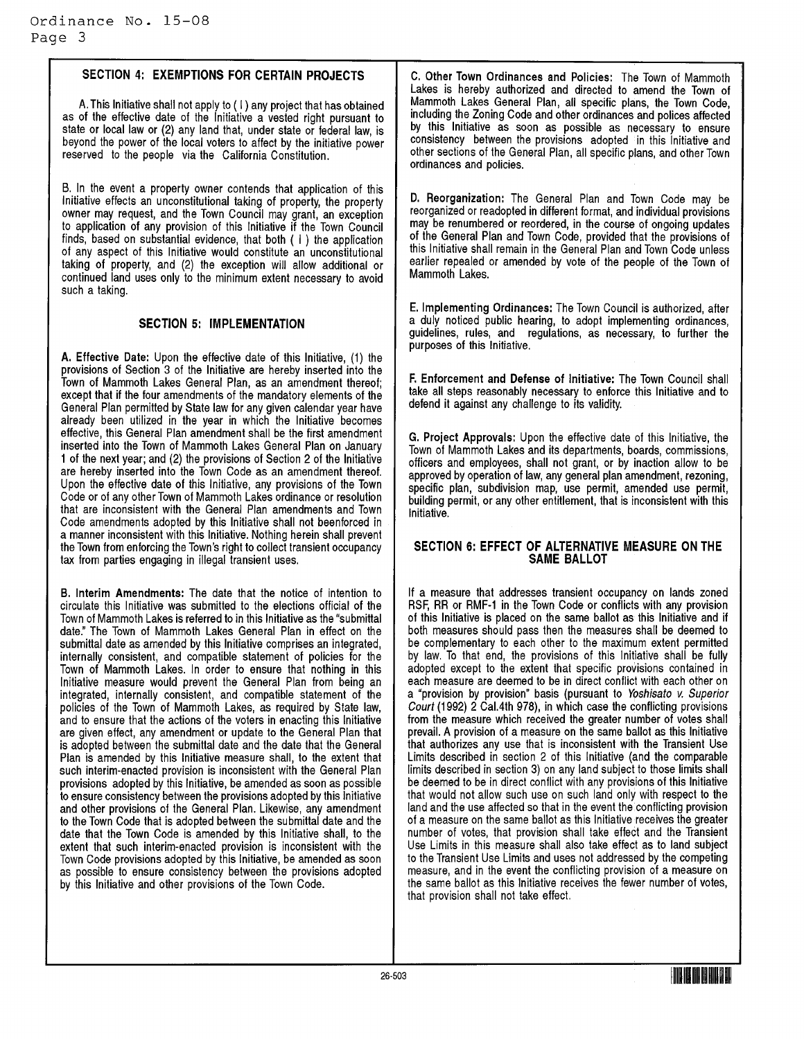### SECTION 4: EXEMPTIONS FOR CERTAIN PROJECTS

A. This Initiative shall not apply to( I) any project that has obtained as of the effective date of the Initiative a vested right pursuant to state or local law or (2) any land that, under state or federal law, is beyond the power of the local voters to affect by the initiative power reserved to the people via the California Constitution.

B. In the event a property owner contends that application of this Initiative effects an unconstitutional taking of property, the property owner may request, and the Town Council may grant, an exception to application of any provision of this Initiative if the Town Council finds, based on substantial evidence, that both  $(1)$  the application of any aspect of this Initiative would constitute an unconstitutional taking of property, and (2) the exception will allow additional or continued land uses only to the minimum extent necessary to avoid such a taking.

### SECTION 5: IMPLEMENTATION

A. Effective Date: Upon the effective date of this Initiative, (1) the provisions of Section 3 of the Initiative are hereby inserted into the Town of Mammoth Lakes General Plan, as an amendment thereof; except that if the four amendments of the mandatory elements of the General Plan permitted by State law for any given calendar year have already been utilized in the year in which the Initiative becomes effective, this General Plan amendment shall be the first amendment inserted into the Town of Mammoth Lakes General Plan on January 1 of the next year; and (2) the provisions of Section 2 of the Initiative are hereby inserted into the Town Code as an amendment thereof. Upon the effective date of this Initiative, any provisions of the Town Code or of any other Town of Mammoth Lakes ordinance or resolution that are inconsistent with the General Plan amendments and Town Code amendments adopted by this Initiative shall not beenforced in a manner inconsistent with this Initiative. Nothing herein shall prevent the Town from enforcing the Town's right to collect transient occupancy tax from parties engaging in illegal transient uses.

B. Interim Amendments: The date that the notice of intention to circulate this Initiative was submitted to the elections official of the Town of Mammoth Lakes is referred to in this Initiative as the "submittal date." The Town of Mammoth Lakes General Plan in effect on the submittal date as amended by this Initiative comprises an integrated, internally consistent, and compatible statement of policies for the Town of Mammoth Lakes. In order to ensure that nothing in this Initiative measure would prevent the General Plan from being an integrated, internally consistent, and compatible statement of the policies of the Town of Mammoth Lakes, as required by State law, and to ensure that the actions of the voters in enacting this Initiative are given effect, any amendment or update to the General Plan that is adopted between the submittal date and the date that the General Plan is amended by this Initiative measure shall, to the extent that such interim-enacted provision is inconsistent with the General Plan provisions adopted by this Initiative, be amended as soon as possible to ensure consistency between the provisions adopted by this Initiative and other provisions of the General Plan. Likewise, any amendment to the Town Code that is adopted between the submittal date and the date that the Town Code is amended by this Initiative shall, to the extent that such interim-enacted provision is inconsistent with the Town Code provisions adopted by this Initiative, be amended as soon as possible to ensure consistency between the provisions adopted by this Initiative and other provisions of the Town Code.

C. Other Town Ordinances and Policies: The Town of Mammoth Lakes is hereby authorized and directed to amend the Town of Mammoth Lakes General Plan, all specific plans, the Town Code, including the Zoning Code and other ordinances and polices affected by this Initiative as soon as possible as necessary to ensure consistency between the provisions adopted in this Initiative and other sections of the General Plan, all specific plans, and other Town ordinances and policies.

D. Reorganization: The General Plan and Town Code may be reorganized or readopted in different format, and individual provisions may be renumbered or reordered, in the course of ongoing updates of the General Plan and Town Code, provided that the provisions of this Initiative shall remain in the General Plan and Town Code unless earlier repealed or amended by vote of the people of the Town of Mammoth Lakes.

E. Implementing Ordinances: The Town Council is authorized, after a duly noticed public hearing, to adopt implementing ordinances, guidelines, rules, and regulations, as necessary, to further the purposes of this Initiative.

F. Enforcement and Defense of Initiative: The Town Council shall take all steps reasonably necessary to enforce this Initiative and to defend it against any challenge to its validity.

G. Project Approvals: Upon the effective date of this Initiative, the Town of Mammoth Lakes and its departments, boards, commissions, officers and employees, shall not grant, or by inaction allow to be approved by operation of law, any general plan amendment, rezoning, specific plan, subdivision map, use permit, amended use permit, building permit, or any other entitlement, that is inconsistent with this Initiative.

### SECTION 6: EFFECT OF ALTERNATIVE MEASURE ON THE SAME BALLOT

If a measure that addresses transient occupancy on lands zoned RSF, RR or RMF-1 in the Town Code or conflicts with any provision of this Initiative is placed on the same ballot as this Initiative and if both measures should pass then the measures shall be deemed to be complementary to each other to the maximum extent permitted by law. To that end, the provisions of this Initiative shall be fully adopted except to the extent that specific provisions contained in each measure are deemed to be in direct conflict with each other on a " provision by provision" basis ( pursuant to Yoshisato v. Superior Court (1992) 2 Cal.4th 978), in which case the conflicting provisions from the measure which received the greater number of votes shall prevail. A provision of a measure on the same ballot as this Initiative that authorizes any use that is inconsistent with the Transient Use Limits described in section 2 of this Initiative (and the comparable limits described in section 3) on any land subject to those limits shall be deemed to be in direct conflict with any provisions of this Initiative that would not allow such use on such land only with respect to the land and the use affected so that in the event the conflicting provision of a measure on the same ballot as this Initiative receives the greater number of votes, that provision shall take effect and the Transient Use Limits in this measure shall also take effect as to land subject to the Transient Use Limits and uses not addressed by the competing measure, and in the event the conflicting provision of a measure on the same ballot as this Initiative receives the fewer number of votes, that provision shall not take effect.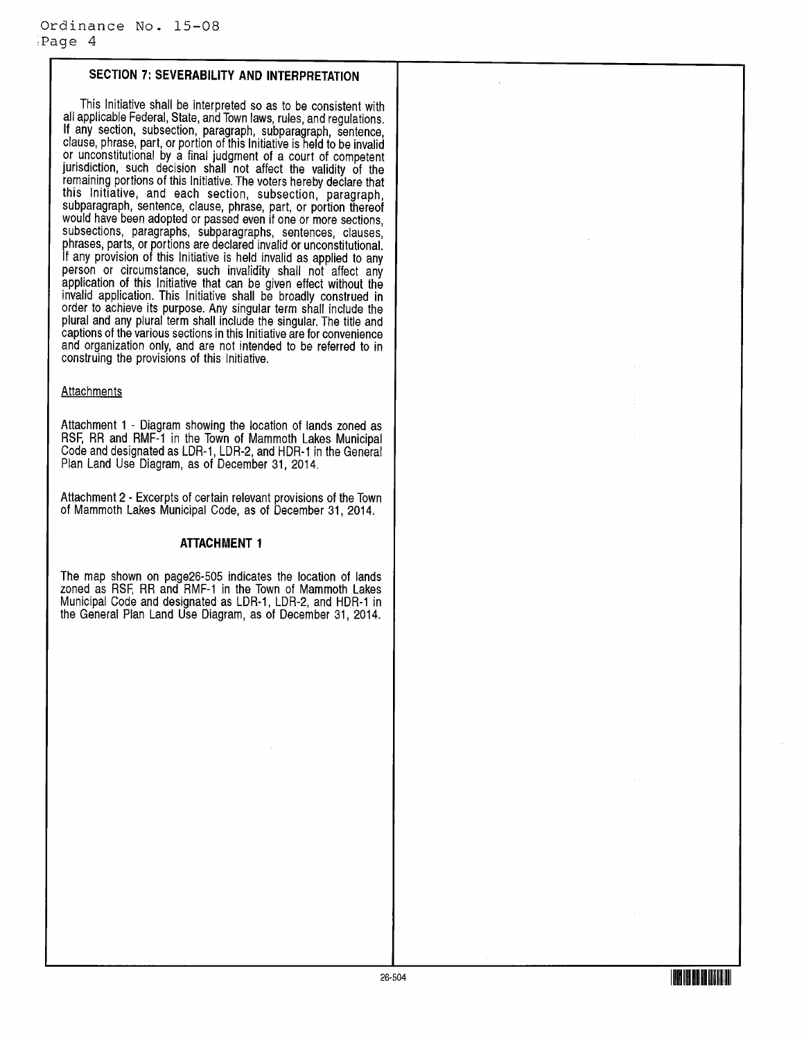## SECTION 7: SEVERABILITY AND INTERPRETATION

This Initiative shall be interpreted so as to be consistent with all applicable Federal, State, and Town laws, rules, and regulations. If any section, subsection, paragraph, subparagraph, sentence, clause, phrase, part, or portion of this Initiative is held to be invalid or unconstitutional by a final judgment of a court of competent jurisdiction, such decision shall not affect the validity of the remaining portions of this Initiative. The voters hereby declare that this Initiative, and each section, subsection, paragraph, subparagraph, sentence, clause, phrase, part, or portion thereof would have been adopted or passed even if one or more sections, subsections, paragraphs, subparagraphs, sentences, clauses, phrases, parts, or portions are declared invalid or unconstitutional. If any provision of this Initiative is held invalid as applied to any person or circumstance, such invalidity shall not affect any application of this Initiative that can be given effect without the invalid application. This Initiative shall be broadly construed in order to achieve its purpose. Any singular term shall include the plural and any plural term shall include the singular. The title and captions of the various sections in this Initiative are for convenience and organization only, and are not intended to be referred to in construing the provisions of this Initiative.

#### **Attachments**

Attachment 1 - Diagram showing the location of lands zoned as RSF, RR and RMF-1 in the Town of Mammoth Lakes Municipal Code and designated as LDR-1, LDR-2, and HDR-1 in the General Plan Land Use Diagram, as of December 31, 2014.

Attachment 2 - Excerpts of certain relevant provisions of the Town of Mammoth Lakes Municipal Code, as of December 31, 2014.

#### ATTACHMENT <sup>1</sup>

The map shown on page26-505 indicates the location of lands zoned as RSF, RR and RMF -1 in the Town of Mammoth Lakes Municipal Code and designated as LDR-1, LDR-2, and HDR-1 in the General Plan Land Use Diagram, as of December 31, 2014.